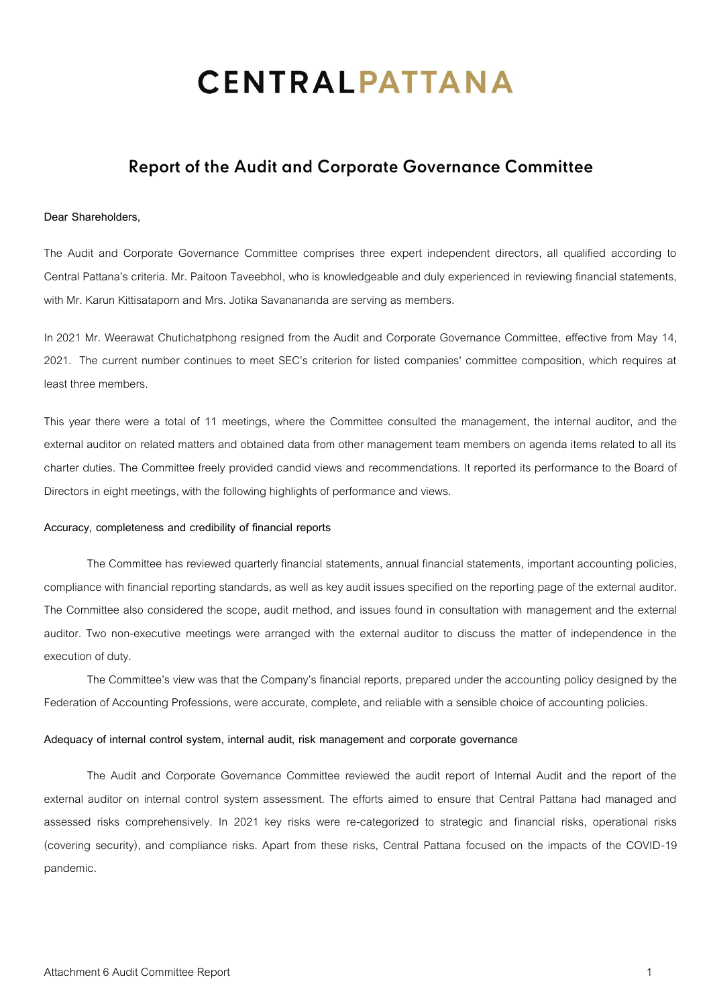# **CENTRALPATTANA**

# **Report of the Audit and Corporate Governance Committee**

### **Dear Shareholders,**

The Audit and Corporate Governance Committee comprises three expert independent directors, all qualified according to Central Pattana's criteria. Mr. Paitoon Taveebhol, who is knowledgeable and duly experienced in reviewing financial statements, with Mr. Karun Kittisataporn and Mrs. Jotika Savanananda are serving as members.

In 2021 Mr. Weerawat Chutichatphong resigned from the Audit and Corporate Governance Committee, effective from May 14, 2021. The current number continues to meet SEC's criterion for listed companies' committee composition, which requires at least three members.

This year there were a total of 11 meetings, where the Committee consulted the management, the internal auditor, and the external auditor on related matters and obtained data from other management team members on agenda items related to all its charter duties. The Committee freely provided candid views and recommendations. It reported its performance to the Board of Directors in eight meetings, with the following highlights of performance and views.

#### **Accuracy, completeness and credibility of financial reports**

The Committee has reviewed quarterly financial statements, annual financial statements, important accounting policies, compliance with financial reporting standards, as well as key audit issues specified on the reporting page of the external auditor. The Committee also considered the scope, audit method, and issues found in consultation with management and the external auditor. Two non-executive meetings were arranged with the external auditor to discuss the matter of independence in the execution of duty.

The Committee's view was that the Company's financial reports, prepared under the accounting policy designed by the Federation of Accounting Professions, were accurate, complete, and reliable with a sensible choice of accounting policies.

#### **Adequacy of internal control system, internal audit, risk management and corporate governance**

The Audit and Corporate Governance Committee reviewed the audit report of Internal Audit and the report of the external auditor on internal control system assessment. The efforts aimed to ensure that Central Pattana had managed and assessed risks comprehensively. In 2021 key risks were re-categorized to strategic and financial risks, operational risks (covering security), and compliance risks. Apart from these risks, Central Pattana focused on the impacts of the COVID-19 pandemic.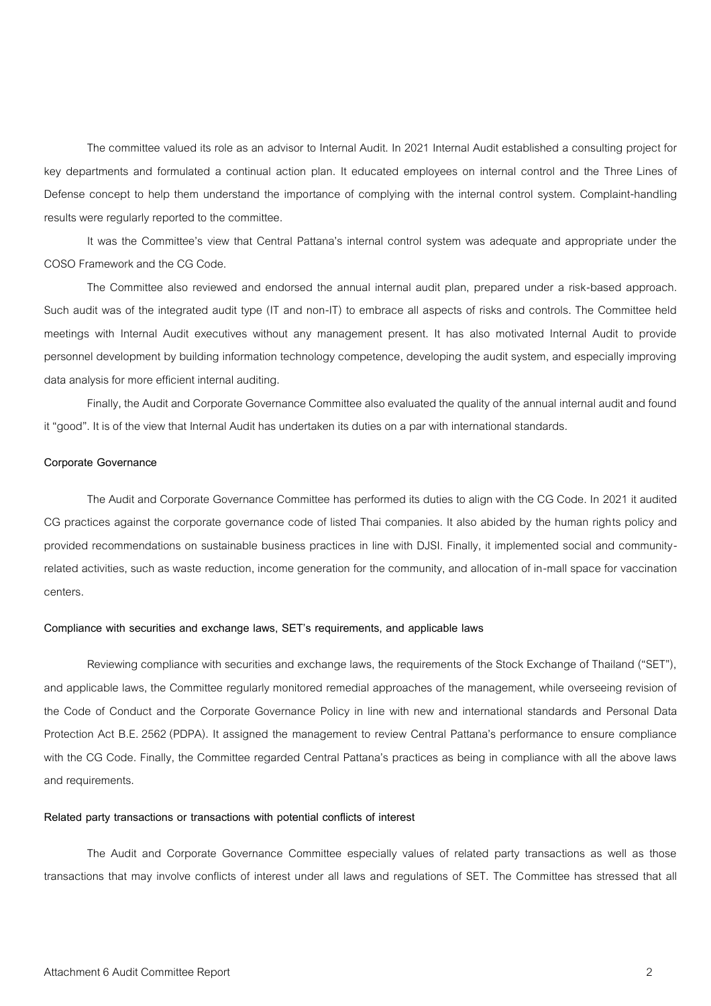The committee valued its role as an advisor to Internal Audit. In 2021 Internal Audit established a consulting project for key departments and formulated a continual action plan. It educated employees on internal control and the Three Lines of Defense concept to help them understand the importance of complying with the internal control system. Complaint-handling results were regularly reported to the committee.

It was the Committee's view that Central Pattana's internal control system was adequate and appropriate under the COSO Framework and the CG Code.

The Committee also reviewed and endorsed the annual internal audit plan, prepared under a risk-based approach. Such audit was of the integrated audit type (IT and non-IT) to embrace all aspects of risks and controls. The Committee held meetings with Internal Audit executives without any management present. It has also motivated Internal Audit to provide personnel development by building information technology competence, developing the audit system, and especially improving data analysis for more efficient internal auditing.

Finally, the Audit and Corporate Governance Committee also evaluated the quality of the annual internal audit and found it "good". It is of the view that Internal Audit has undertaken its duties on a par with international standards.

#### **Corporate Governance**

The Audit and Corporate Governance Committee has performed its duties to align with the CG Code. In 2021 it audited CG practices against the corporate governance code of listed Thai companies. It also abided by the human rights policy and provided recommendations on sustainable business practices in line with DJSI. Finally, it implemented social and communityrelated activities, such as waste reduction, income generation for the community, and allocation of in-mall space for vaccination centers.

### **Compliance with securities and exchange laws, SET's requirements, and applicable laws**

Reviewing compliance with securities and exchange laws, the requirements of the Stock Exchange of Thailand ("SET"), and applicable laws, the Committee regularly monitored remedial approaches of the management, while overseeing revision of the Code of Conduct and the Corporate Governance Policy in line with new and international standards and Personal Data Protection Act B.E. 2562(PDPA). It assigned the management to review Central Pattana's performance to ensure compliance with the CG Code. Finally, the Committee regarded Central Pattana's practices as being in compliance with all the above laws and requirements.

#### **Related party transactions or transactions with potential conflicts of interest**

The Audit and Corporate Governance Committee especially values of related party transactions as well as those transactions that may involve conflicts of interest under all laws and regulations of SET. The Committee has stressed that all